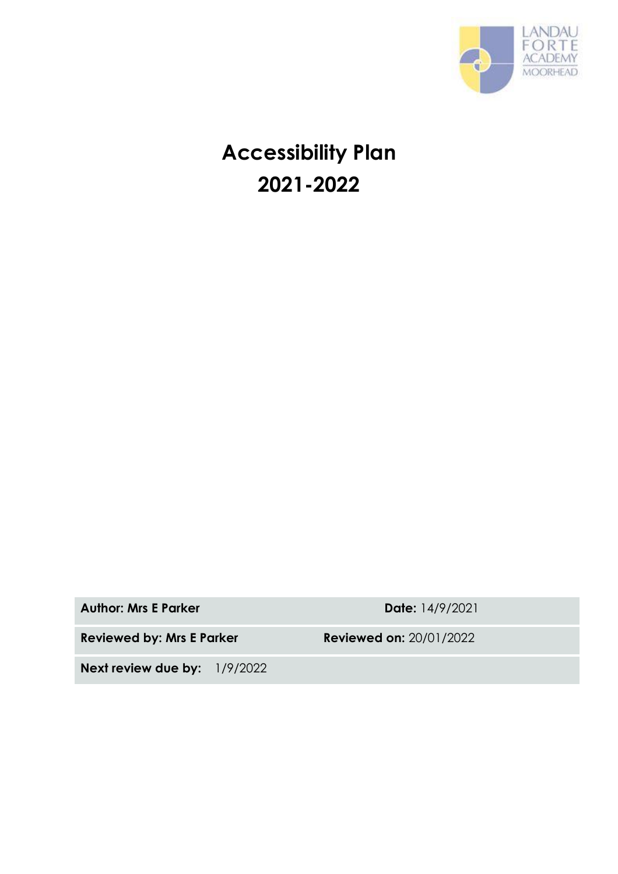

# **Accessibility Plan 2021-2022**

**Author: Mrs E Parker Date:** 14/9/2021

**Reviewed by: Mrs E Parker Reviewed on:** 20/01/2022

**Next review due by:** 1/9/2022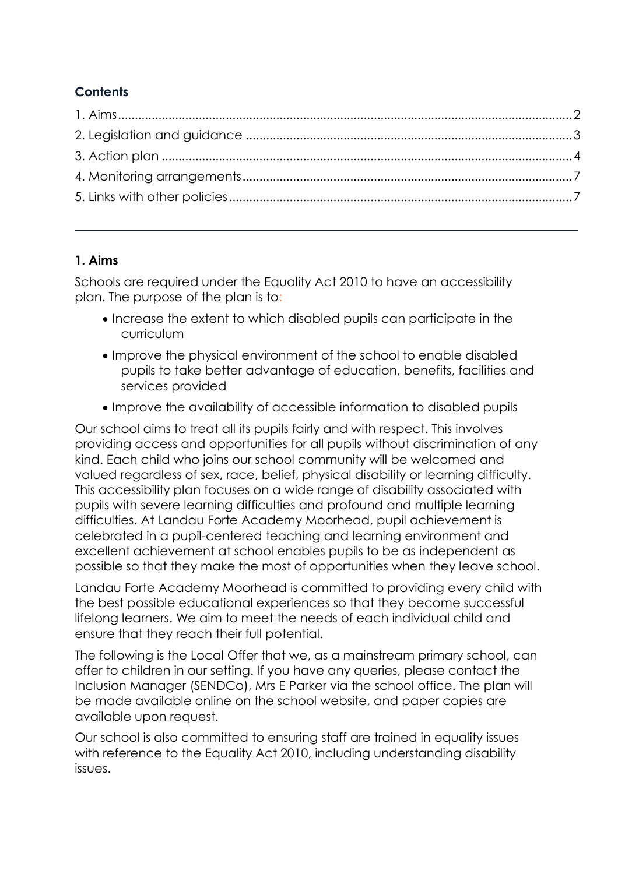# **Contents**

## <span id="page-1-0"></span>**1. Aims**

Schools are required under the Equality Act 2010 to have an accessibility plan. The purpose of the plan is to:

- Increase the extent to which disabled pupils can participate in the curriculum
- Improve the physical environment of the school to enable disabled pupils to take better advantage of education, benefits, facilities and services provided
- Improve the availability of accessible information to disabled pupils

Our school aims to treat all its pupils fairly and with respect. This involves providing access and opportunities for all pupils without discrimination of any kind. Each child who joins our school community will be welcomed and valued regardless of sex, race, belief, physical disability or learning difficulty. This accessibility plan focuses on a wide range of disability associated with pupils with severe learning difficulties and profound and multiple learning difficulties. At Landau Forte Academy Moorhead, pupil achievement is celebrated in a pupil-centered teaching and learning environment and excellent achievement at school enables pupils to be as independent as possible so that they make the most of opportunities when they leave school.

Landau Forte Academy Moorhead is committed to providing every child with the best possible educational experiences so that they become successful lifelong learners. We aim to meet the needs of each individual child and ensure that they reach their full potential.

The following is the Local Offer that we, as a mainstream primary school, can offer to children in our setting. If you have any queries, please contact the Inclusion Manager (SENDCo), Mrs E Parker via the school office. The plan will be made available online on the school website, and paper copies are available upon request.

Our school is also committed to ensuring staff are trained in equality issues with reference to the Equality Act 2010, including understanding disability issues.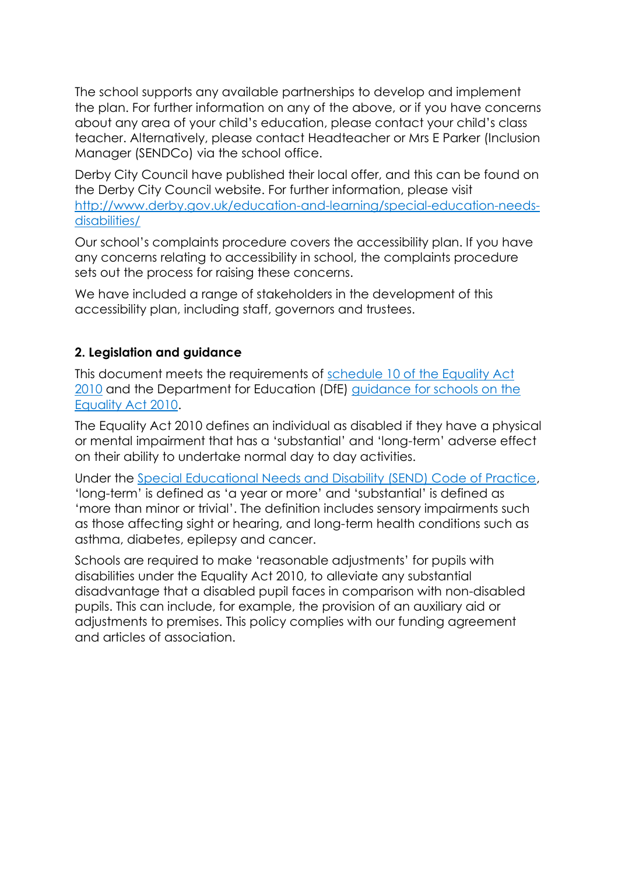The school supports any available partnerships to develop and implement the plan. For further information on any of the above, or if you have concerns about any area of your child's education, please contact your child's class teacher. Alternatively, please contact Headteacher or Mrs E Parker (Inclusion Manager (SENDCo) via the school office.

Derby City Council have published their local offer, and this can be found on the Derby City Council website. For further information, please visit [http://www.derby.gov.uk/education-and-learning/special-education-needs](http://www.derby.gov.uk/education-and-learning/special-education-needs-disabilities/)[disabilities/](http://www.derby.gov.uk/education-and-learning/special-education-needs-disabilities/)

Our school's complaints procedure covers the accessibility plan. If you have any concerns relating to accessibility in school, the complaints procedure sets out the process for raising these concerns.

We have included a range of stakeholders in the development of this accessibility plan, including staff, governors and trustees.

## <span id="page-2-0"></span>**2. Legislation and guidance**

This document meets the requirements of schedule 10 of the Equality Act [2010](http://www.legislation.gov.uk/ukpga/2010/15/schedule/10) and the Department for Education (DfE) guidance for schools on the [Equality Act 2010.](https://www.gov.uk/government/publications/equality-act-2010-advice-for-schools)

The Equality Act 2010 defines an individual as disabled if they have a physical or mental impairment that has a 'substantial' and 'long-term' adverse effect on their ability to undertake normal day to day activities.

Under the [Special Educational Needs and Disability \(SEND\) Code of Practice,](https://www.gov.uk/government/publications/send-code-of-practice-0-to-25) 'long-term' is defined as 'a year or more' and 'substantial' is defined as 'more than minor or trivial'. The definition includes sensory impairments such as those affecting sight or hearing, and long-term health conditions such as asthma, diabetes, epilepsy and cancer.

Schools are required to make 'reasonable adjustments' for pupils with disabilities under the Equality Act 2010, to alleviate any substantial disadvantage that a disabled pupil faces in comparison with non-disabled pupils. This can include, for example, the provision of an auxiliary aid or adjustments to premises. This policy complies with our funding agreement and articles of association.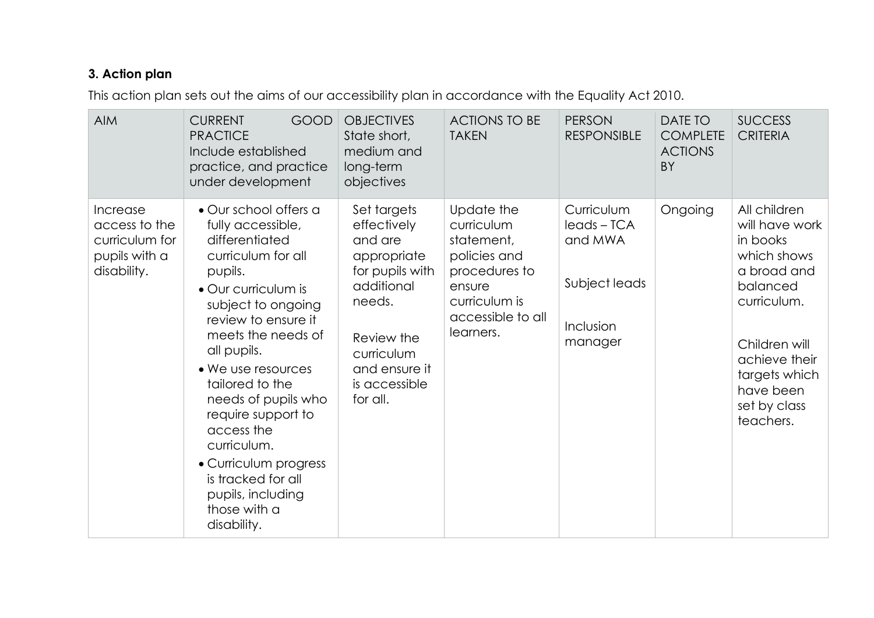## **3. Action plan**

This action plan sets out the aims of our accessibility plan in accordance with the Equality Act 2010.

<span id="page-3-0"></span>

| <b>AIM</b>                                                                  | <b>CURRENT</b><br><b>GOOD</b><br><b>PRACTICE</b><br>Include established<br>practice, and practice<br>under development                                                                                                                                                                                                                                                                                                       | <b>OBJECTIVES</b><br>State short,<br>medium and<br>long-term<br>objectives                                                                                                | <b>ACTIONS TO BE</b><br><b>TAKEN</b>                                                                                                 | <b>PERSON</b><br><b>RESPONSIBLE</b>                                         | <b>DATE TO</b><br><b>COMPLETE</b><br><b>ACTIONS</b><br>BY | <b>SUCCESS</b><br><b>CRITERIA</b>                                                                                                                                                                |
|-----------------------------------------------------------------------------|------------------------------------------------------------------------------------------------------------------------------------------------------------------------------------------------------------------------------------------------------------------------------------------------------------------------------------------------------------------------------------------------------------------------------|---------------------------------------------------------------------------------------------------------------------------------------------------------------------------|--------------------------------------------------------------------------------------------------------------------------------------|-----------------------------------------------------------------------------|-----------------------------------------------------------|--------------------------------------------------------------------------------------------------------------------------------------------------------------------------------------------------|
| Increase<br>access to the<br>curriculum for<br>pupils with a<br>disability. | • Our school offers a<br>fully accessible,<br>differentiated<br>curriculum for all<br>pupils.<br>• Our curriculum is<br>subject to ongoing<br>review to ensure it<br>meets the needs of<br>all pupils.<br>• We use resources<br>tailored to the<br>needs of pupils who<br>require support to<br>access the<br>curriculum.<br>• Curriculum progress<br>is tracked for all<br>pupils, including<br>those with a<br>disability. | Set targets<br>effectively<br>and are<br>appropriate<br>for pupils with<br>additional<br>needs.<br>Review the<br>curriculum<br>and ensure it<br>is accessible<br>for all. | Update the<br>curriculum<br>statement,<br>policies and<br>procedures to<br>ensure<br>curriculum is<br>accessible to all<br>learners. | Curriculum<br>leads-TCA<br>and MWA<br>Subject leads<br>Inclusion<br>manager | Ongoing                                                   | All children<br>will have work<br>in books<br>which shows<br>a broad and<br>balanced<br>curriculum.<br>Children will<br>achieve their<br>targets which<br>have been<br>set by class<br>teachers. |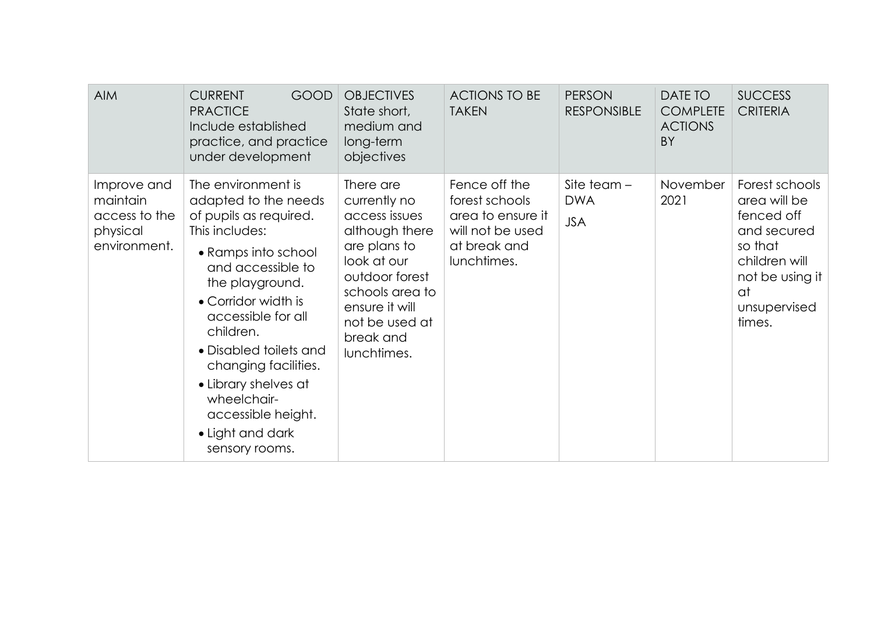| <b>AIM</b>                                                           | <b>CURRENT</b><br><b>GOOD</b><br><b>PRACTICE</b><br>Include established<br>practice, and practice<br>under development                                                                                                                                                                                                                                               | <b>OBJECTIVES</b><br>State short,<br>medium and<br>long-term<br>objectives                                                                                                                       | <b>ACTIONS TO BE</b><br><b>TAKEN</b>                                                                    | <b>PERSON</b><br><b>RESPONSIBLE</b>       | DATE TO<br><b>COMPLETE</b><br><b>ACTIONS</b><br><b>BY</b> | <b>SUCCESS</b><br><b>CRITERIA</b>                                                                                                          |
|----------------------------------------------------------------------|----------------------------------------------------------------------------------------------------------------------------------------------------------------------------------------------------------------------------------------------------------------------------------------------------------------------------------------------------------------------|--------------------------------------------------------------------------------------------------------------------------------------------------------------------------------------------------|---------------------------------------------------------------------------------------------------------|-------------------------------------------|-----------------------------------------------------------|--------------------------------------------------------------------------------------------------------------------------------------------|
| Improve and<br>maintain<br>access to the<br>physical<br>environment. | The environment is<br>adapted to the needs<br>of pupils as required.<br>This includes:<br>• Ramps into school<br>and accessible to<br>the playground.<br>• Corridor width is<br>accessible for all<br>children.<br>• Disabled toilets and<br>changing facilities.<br>• Library shelves at<br>wheelchair-<br>accessible height.<br>• Light and dark<br>sensory rooms. | There are<br>currently no<br>access issues<br>although there<br>are plans to<br>look at our<br>outdoor forest<br>schools area to<br>ensure it will<br>not be used at<br>break and<br>lunchtimes. | Fence off the<br>forest schools<br>area to ensure it<br>will not be used<br>at break and<br>lunchtimes. | Site team $-$<br><b>DWA</b><br><b>JSA</b> | November<br>2021                                          | Forest schools<br>area will be<br>fenced off<br>and secured<br>so that<br>children will<br>not be using it<br>at<br>unsupervised<br>times. |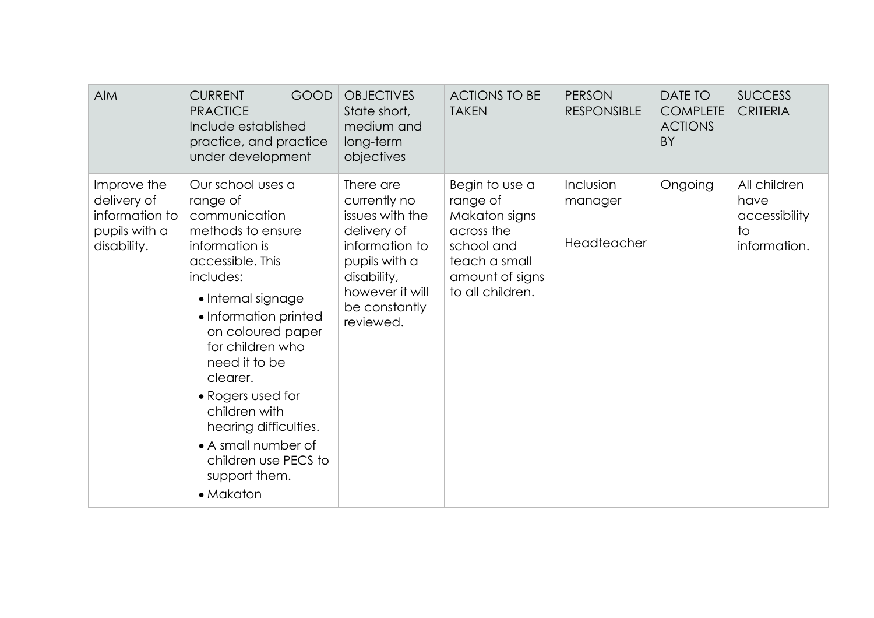| <b>AIM</b>                                                                   | <b>CURRENT</b><br>GOOD<br><b>PRACTICE</b><br>Include established<br>practice, and practice<br>under development                                                                                                                                                                                                                                                                         | <b>OBJECTIVES</b><br>State short,<br>medium and<br>long-term<br>objectives                                                                                     | <b>ACTIONS TO BE</b><br><b>TAKEN</b>                                                                                            | <b>PERSON</b><br><b>RESPONSIBLE</b> | DATE TO<br><b>COMPLETE</b><br><b>ACTIONS</b><br><b>BY</b> | <b>SUCCESS</b><br><b>CRITERIA</b>                           |
|------------------------------------------------------------------------------|-----------------------------------------------------------------------------------------------------------------------------------------------------------------------------------------------------------------------------------------------------------------------------------------------------------------------------------------------------------------------------------------|----------------------------------------------------------------------------------------------------------------------------------------------------------------|---------------------------------------------------------------------------------------------------------------------------------|-------------------------------------|-----------------------------------------------------------|-------------------------------------------------------------|
| Improve the<br>delivery of<br>information to<br>pupils with a<br>disability. | Our school uses a<br>range of<br>communication<br>methods to ensure<br>information is<br>accessible. This<br>includes:<br>• Internal signage<br>• Information printed<br>on coloured paper<br>for children who<br>need it to be<br>clearer.<br>• Rogers used for<br>children with<br>hearing difficulties.<br>• A small number of<br>children use PECS to<br>support them.<br>• Makaton | There are<br>currently no<br>issues with the<br>delivery of<br>information to<br>pupils with a<br>disability,<br>however it will<br>be constantly<br>reviewed. | Begin to use a<br>range of<br>Makaton signs<br>across the<br>school and<br>teach a small<br>amount of signs<br>to all children. | Inclusion<br>manager<br>Headteacher | Ongoing                                                   | All children<br>have<br>accessibility<br>to<br>information. |